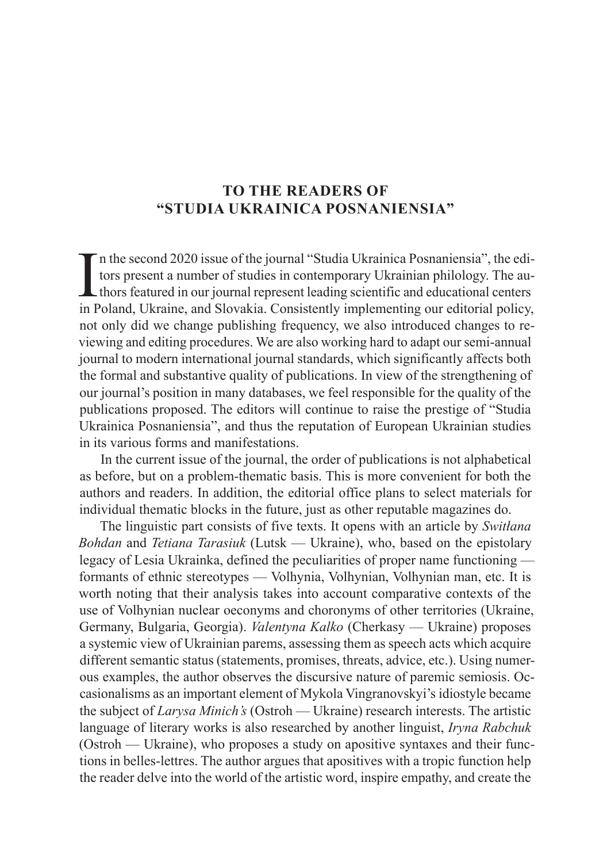## **TO THE READERS OF "STUDIA UKRAINICA POSNANIENSIA"**

 $\prod_{\text{in } F}$ n the second 2020 issue of the journal "Studia Ukrainica Posnaniensia", the editors present a number of studies in contemporary Ukrainian philology. The authors featured in our journal represent leading scientific and educational centers in Poland, Ukraine, and Slovakia. Consistently implementing our editorial policy, not only did we change publishing frequency, we also introduced changes to reviewing and editing procedures. We are also working hard to adapt our semi-annual journal to modern international journal standards, which significantly affects both the formal and substantive quality of publications. In view of the strengthening of our journal's position in many databases, we feel responsible for the quality of the publications proposed. The editors will continue to raise the prestige of "Studia Ukrainica Posnaniensia", and thus the reputation of European Ukrainian studies in its various forms and manifestations.

In the current issue of the journal, the order of publications is not alphabetical as before, but on a problem-thematic basis. This is more convenient for both the authors and readers. In addition, the editorial office plans to select materials for individual thematic blocks in the future, just as other reputable magazines do.

The linguistic part consists of five texts. It opens with an article by *Switłana Bohdan* and *Tetiana Tarasiuk* (Lutsk — Ukraine), who, based on the epistolary legacy of Lesia Ukrainka, defined the peculiarities of proper name functioning formants of ethnic stereotypes — Volhynia, Volhynian, Volhynian man, etc. It is worth noting that their analysis takes into account comparative contexts of the use of Volhynian nuclear oeconyms and choronyms of other territories (Ukraine, Germany, Bulgaria, Georgia). *Valentyna Kalko* (Cherkasy — Ukraine) proposes a systemic view of Ukrainian parems, assessing them as speech acts which acquire different semantic status (statements, promises, threats, advice, etc.). Using numerous examples, the author observes the discursive nature of paremic semiosis. Occasionalisms as an important element of Mykola Vingranovskyi's idiostyle became the subject of *Larysa Minich's* (Ostroh — Ukraine) research interests. The artistic language of literary works is also researched by another linguist, *Iryna Rabchuk* (Ostroh — Ukraine), who proposes a study on apositive syntaxes and their functions in belles-lettres. The author argues that apositives with a tropic function help the reader delve into the world of the artistic word, inspire empathy, and create the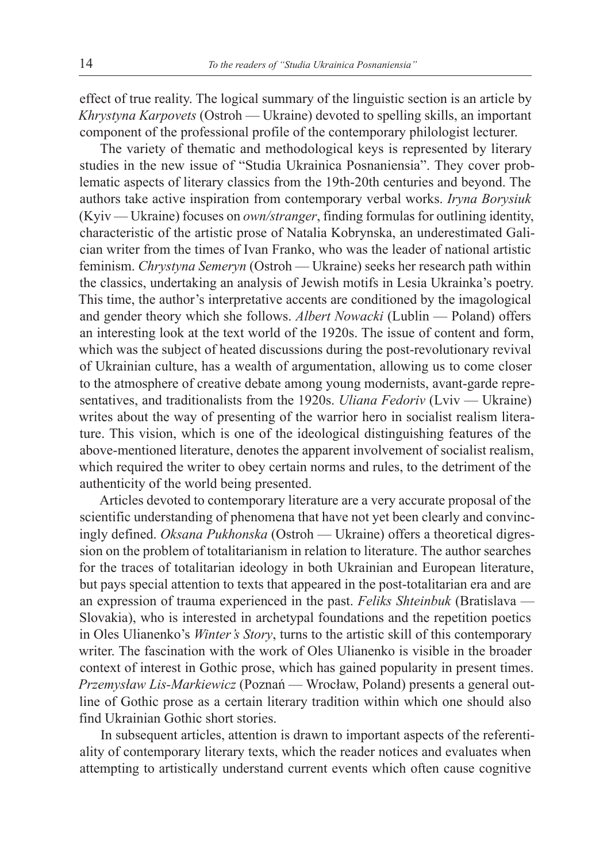effect of true reality. The logical summary of the linguistic section is an article by *Khrystyna Karpovets* (Ostroh — Ukraine) devoted to spelling skills, an important component of the professional profile of the contemporary philologist lecturer.

The variety of thematic and methodological keys is represented by literary studies in the new issue of "Studia Ukrainica Posnaniensia". They cover problematic aspects of literary classics from the 19th-20th centuries and beyond. The authors take active inspiration from contemporary verbal works. *Iryna Borysiuk* (Kyiv — Ukraine) focuses on *own/stranger*, finding formulas for outlining identity, characteristic of the artistic prose of Natalia Kobrynska, an underestimated Galician writer from the times of Ivan Franko, who was the leader of national artistic feminism. *Chrystyna Semeryn* (Ostroh — Ukraine) seeks her research path within the classics, undertaking an analysis of Jewish motifs in Lesia Ukrainka's poetry. This time, the author's interpretative accents are conditioned by the imagological and gender theory which she follows. *Albert Nowacki* (Lublin — Poland) offers an interesting look at the text world of the 1920s. The issue of content and form, which was the subject of heated discussions during the post-revolutionary revival of Ukrainian culture, has a wealth of argumentation, allowing us to come closer to the atmosphere of creative debate among young modernists, avant-garde representatives, and traditionalists from the 1920s. *Uliana Fedoriv* (Lviv — Ukraine) writes about the way of presenting of the warrior hero in socialist realism literature. This vision, which is one of the ideological distinguishing features of the above-mentioned literature, denotes the apparent involvement of socialist realism, which required the writer to obey certain norms and rules, to the detriment of the authenticity of the world being presented.

Articles devoted to contemporary literature are a very accurate proposal of the scientific understanding of phenomena that have not yet been clearly and convincingly defined. *Oksana Pukhonska* (Ostroh — Ukraine) offers a theoretical digression on the problem of totalitarianism in relation to literature. The author searches for the traces of totalitarian ideology in both Ukrainian and European literature, but pays special attention to texts that appeared in the post-totalitarian era and are an expression of trauma experienced in the past. *Feliks Shteinbuk* (Bratislava — Slovakia), who is interested in archetypal foundations and the repetition poetics in Oles Ulianenko's *Winter's Story*, turns to the artistic skill of this contemporary writer. The fascination with the work of Oles Ulianenko is visible in the broader context of interest in Gothic prose, which has gained popularity in present times. *Przemysław Lis-Markiewicz* (Poznań — Wrocław, Poland) presents a general outline of Gothic prose as a certain literary tradition within which one should also find Ukrainian Gothic short stories.

In subsequent articles, attention is drawn to important aspects of the referentiality of contemporary literary texts, which the reader notices and evaluates when attempting to artistically understand current events which often cause cognitive